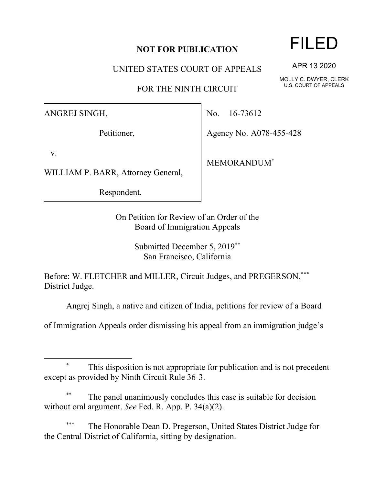## **NOT FOR PUBLICATION**

UNITED STATES COURT OF APPEALS

FOR THE NINTH CIRCUIT

ANGREJ SINGH,

Petitioner,

v.

WILLIAM P. BARR, Attorney General,

Respondent.

No. 16-73612

Agency No. A078-455-428

MEMORANDUM\*

On Petition for Review of an Order of the Board of Immigration Appeals

> Submitted December 5, 2019\*\* San Francisco, California

Before: W. FLETCHER and MILLER, Circuit Judges, and PREGERSON,\*\*\* District Judge.

Angrej Singh, a native and citizen of India, petitions for review of a Board

of Immigration Appeals order dismissing his appeal from an immigration judge's

The panel unanimously concludes this case is suitable for decision without oral argument. *See* Fed. R. App. P. 34(a)(2).

The Honorable Dean D. Pregerson, United States District Judge for the Central District of California, sitting by designation.

## FILED

APR 13 2020

MOLLY C. DWYER, CLERK U.S. COURT OF APPEALS

This disposition is not appropriate for publication and is not precedent except as provided by Ninth Circuit Rule 36-3.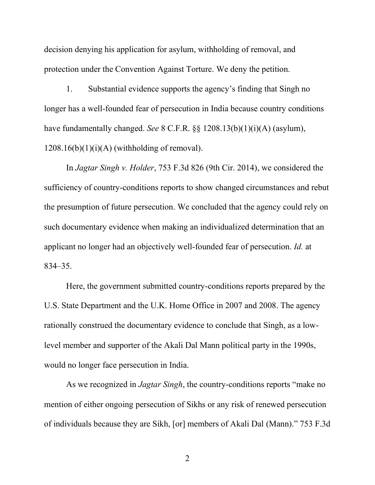decision denying his application for asylum, withholding of removal, and protection under the Convention Against Torture. We deny the petition.

1. Substantial evidence supports the agency's finding that Singh no longer has a well-founded fear of persecution in India because country conditions have fundamentally changed. *See* 8 C.F.R. §§ 1208.13(b)(1)(i)(A) (asylum),  $1208.16(b)(1)(i)(A)$  (withholding of removal).

In *Jagtar Singh v. Holder*, 753 F.3d 826 (9th Cir. 2014), we considered the sufficiency of country-conditions reports to show changed circumstances and rebut the presumption of future persecution. We concluded that the agency could rely on such documentary evidence when making an individualized determination that an applicant no longer had an objectively well-founded fear of persecution. *Id.* at 834–35.

Here, the government submitted country-conditions reports prepared by the U.S. State Department and the U.K. Home Office in 2007 and 2008. The agency rationally construed the documentary evidence to conclude that Singh, as a lowlevel member and supporter of the Akali Dal Mann political party in the 1990s, would no longer face persecution in India.

As we recognized in *Jagtar Singh*, the country-conditions reports "make no mention of either ongoing persecution of Sikhs or any risk of renewed persecution of individuals because they are Sikh, [or] members of Akali Dal (Mann)." 753 F.3d

2 a set of  $\sim$  2 a set of  $\sim$  2 a set of  $\sim$  2 a set of  $\sim$  3 a set of  $\sim$  3 a set of  $\sim$  3 a set of  $\sim$  3 a set of  $\sim$  3 a set of  $\sim$  3 a set of  $\sim$  3 a set of  $\sim$  3 a set of  $\sim$  3 a set of  $\sim$  3 a set of  $\sim$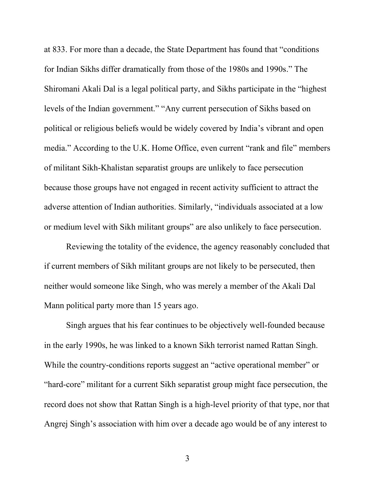at 833. For more than a decade, the State Department has found that "conditions for Indian Sikhs differ dramatically from those of the 1980s and 1990s." The Shiromani Akali Dal is a legal political party, and Sikhs participate in the "highest levels of the Indian government." "Any current persecution of Sikhs based on political or religious beliefs would be widely covered by India's vibrant and open media." According to the U.K. Home Office, even current "rank and file" members of militant Sikh-Khalistan separatist groups are unlikely to face persecution because those groups have not engaged in recent activity sufficient to attract the adverse attention of Indian authorities. Similarly, "individuals associated at a low or medium level with Sikh militant groups" are also unlikely to face persecution.

Reviewing the totality of the evidence, the agency reasonably concluded that if current members of Sikh militant groups are not likely to be persecuted, then neither would someone like Singh, who was merely a member of the Akali Dal Mann political party more than 15 years ago.

Singh argues that his fear continues to be objectively well-founded because in the early 1990s, he was linked to a known Sikh terrorist named Rattan Singh. While the country-conditions reports suggest an "active operational member" or "hard-core" militant for a current Sikh separatist group might face persecution, the record does not show that Rattan Singh is a high-level priority of that type, nor that Angrej Singh's association with him over a decade ago would be of any interest to

3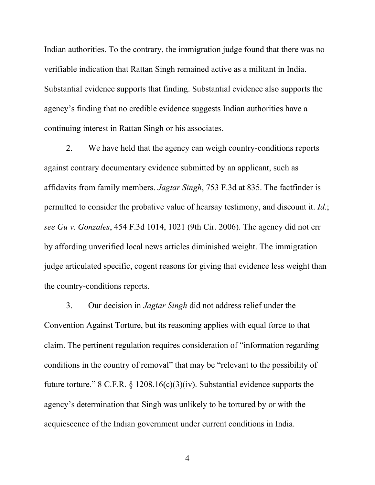Indian authorities. To the contrary, the immigration judge found that there was no verifiable indication that Rattan Singh remained active as a militant in India. Substantial evidence supports that finding. Substantial evidence also supports the agency's finding that no credible evidence suggests Indian authorities have a continuing interest in Rattan Singh or his associates.

2. We have held that the agency can weigh country-conditions reports against contrary documentary evidence submitted by an applicant, such as affidavits from family members. *Jagtar Singh*, 753 F.3d at 835. The factfinder is permitted to consider the probative value of hearsay testimony, and discount it. *Id.*; *see Gu v. Gonzales*, 454 F.3d 1014, 1021 (9th Cir. 2006). The agency did not err by affording unverified local news articles diminished weight. The immigration judge articulated specific, cogent reasons for giving that evidence less weight than the country-conditions reports.

3. Our decision in *Jagtar Singh* did not address relief under the Convention Against Torture, but its reasoning applies with equal force to that claim. The pertinent regulation requires consideration of "information regarding conditions in the country of removal" that may be "relevant to the possibility of future torture." 8 C.F.R.  $\S$  1208.16(c)(3)(iv). Substantial evidence supports the agency's determination that Singh was unlikely to be tortured by or with the acquiescence of the Indian government under current conditions in India.

4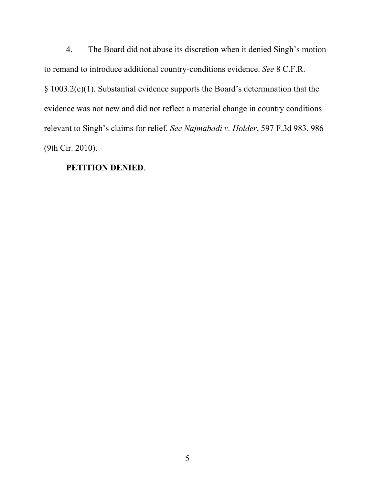4. The Board did not abuse its discretion when it denied Singh's motion to remand to introduce additional country-conditions evidence. *See* 8 C.F.R. § 1003.2(c)(1). Substantial evidence supports the Board's determination that the evidence was not new and did not reflect a material change in country conditions relevant to Singh's claims for relief. *See Najmabadi v. Holder*, 597 F.3d 983, 986 (9th Cir. 2010).

## **PETITION DENIED**.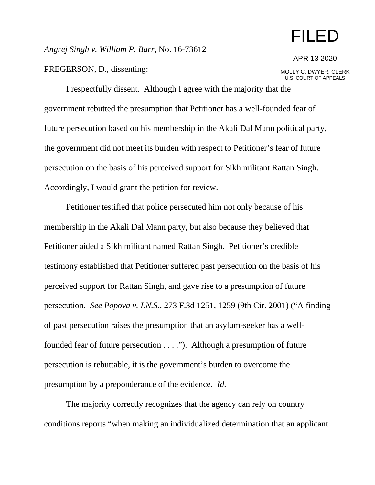## FILED

*Angrej Singh v. William P. Barr*, No. 16-73612

PREGERSON, D., dissenting:

APR 13 2020

MOLLY C. DWYER, CLERK U.S. COURT OF APPEALS

I respectfully dissent. Although I agree with the majority that the government rebutted the presumption that Petitioner has a well-founded fear of future persecution based on his membership in the Akali Dal Mann political party, the government did not meet its burden with respect to Petitioner's fear of future persecution on the basis of his perceived support for Sikh militant Rattan Singh. Accordingly, I would grant the petition for review.

Petitioner testified that police persecuted him not only because of his membership in the Akali Dal Mann party, but also because they believed that Petitioner aided a Sikh militant named Rattan Singh. Petitioner's credible testimony established that Petitioner suffered past persecution on the basis of his perceived support for Rattan Singh, and gave rise to a presumption of future persecution. *See Popova v. I.N.S.*, 273 F.3d 1251, 1259 (9th Cir. 2001) ("A finding of past persecution raises the presumption that an asylum-seeker has a wellfounded fear of future persecution . . . ."). Although a presumption of future persecution is rebuttable, it is the government's burden to overcome the presumption by a preponderance of the evidence. *Id.*

The majority correctly recognizes that the agency can rely on country conditions reports "when making an individualized determination that an applicant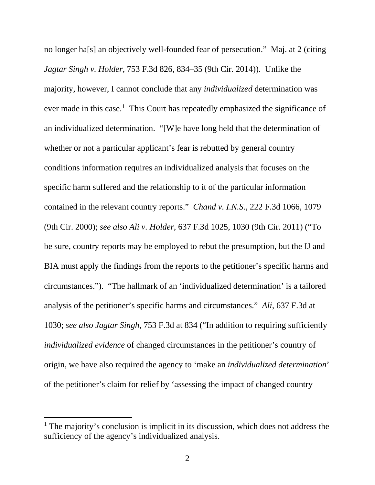no longer ha[s] an objectively well-founded fear of persecution." Maj. at 2 (citing *Jagtar Singh v. Holder*, 753 F.3d 826, 834–35 (9th Cir. 2014)). Unlike the majority, however, I cannot conclude that any *individualized* determination was ever made in this case.<sup>[1](#page-6-0)</sup> This Court has repeatedly emphasized the significance of an individualized determination. "[W]e have long held that the determination of whether or not a particular applicant's fear is rebutted by general country conditions information requires an individualized analysis that focuses on the specific harm suffered and the relationship to it of the particular information contained in the relevant country reports." *Chand v. I.N.S.*, 222 F.3d 1066, 1079 (9th Cir. 2000); *see also Ali v. Holder*, 637 F.3d 1025, 1030 (9th Cir. 2011) ("To be sure, country reports may be employed to rebut the presumption, but the IJ and BIA must apply the findings from the reports to the petitioner's specific harms and circumstances."). "The hallmark of an 'individualized determination' is a tailored analysis of the petitioner's specific harms and circumstances." *Ali*, 637 F.3d at 1030; *see also Jagtar Singh*, 753 F.3d at 834 ("In addition to requiring sufficiently *individualized evidence* of changed circumstances in the petitioner's country of origin, we have also required the agency to 'make an *individualized determination*' of the petitioner's claim for relief by 'assessing the impact of changed country

<span id="page-6-0"></span><sup>&</sup>lt;sup>1</sup> The majority's conclusion is implicit in its discussion, which does not address the sufficiency of the agency's individualized analysis.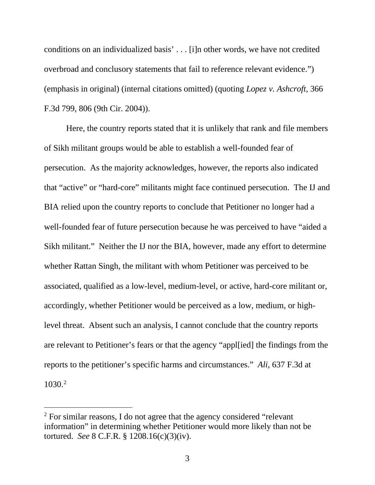conditions on an individualized basis' . . . [i]n other words, we have not credited overbroad and conclusory statements that fail to reference relevant evidence.") (emphasis in original) (internal citations omitted) (quoting *Lopez v. Ashcroft*, 366 F.3d 799, 806 (9th Cir. 2004)).

Here, the country reports stated that it is unlikely that rank and file members of Sikh militant groups would be able to establish a well-founded fear of persecution. As the majority acknowledges, however, the reports also indicated that "active" or "hard-core" militants might face continued persecution. The IJ and BIA relied upon the country reports to conclude that Petitioner no longer had a well-founded fear of future persecution because he was perceived to have "aided a Sikh militant." Neither the IJ nor the BIA, however, made any effort to determine whether Rattan Singh, the militant with whom Petitioner was perceived to be associated, qualified as a low-level, medium-level, or active, hard-core militant or, accordingly, whether Petitioner would be perceived as a low, medium, or highlevel threat. Absent such an analysis, I cannot conclude that the country reports are relevant to Petitioner's fears or that the agency "appl[ied] the findings from the reports to the petitioner's specific harms and circumstances." *Ali*, 637 F.3d at 1030.[2](#page-7-0)

<span id="page-7-0"></span><sup>&</sup>lt;sup>2</sup> For similar reasons, I do not agree that the agency considered "relevant" information" in determining whether Petitioner would more likely than not be tortured. *See* 8 C.F.R. § 1208.16(c)(3)(iv).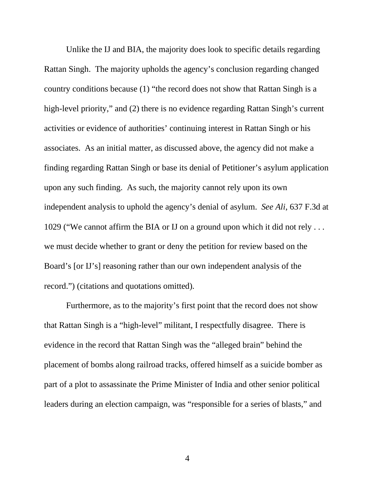Unlike the IJ and BIA, the majority does look to specific details regarding Rattan Singh. The majority upholds the agency's conclusion regarding changed country conditions because (1) "the record does not show that Rattan Singh is a high-level priority," and (2) there is no evidence regarding Rattan Singh's current activities or evidence of authorities' continuing interest in Rattan Singh or his associates. As an initial matter, as discussed above, the agency did not make a finding regarding Rattan Singh or base its denial of Petitioner's asylum application upon any such finding. As such, the majority cannot rely upon its own independent analysis to uphold the agency's denial of asylum. *See Ali*, 637 F.3d at 1029 ("We cannot affirm the BIA or IJ on a ground upon which it did not rely . . . we must decide whether to grant or deny the petition for review based on the Board's [or IJ's] reasoning rather than our own independent analysis of the record.") (citations and quotations omitted).

Furthermore, as to the majority's first point that the record does not show that Rattan Singh is a "high-level" militant, I respectfully disagree. There is evidence in the record that Rattan Singh was the "alleged brain" behind the placement of bombs along railroad tracks, offered himself as a suicide bomber as part of a plot to assassinate the Prime Minister of India and other senior political leaders during an election campaign, was "responsible for a series of blasts," and

4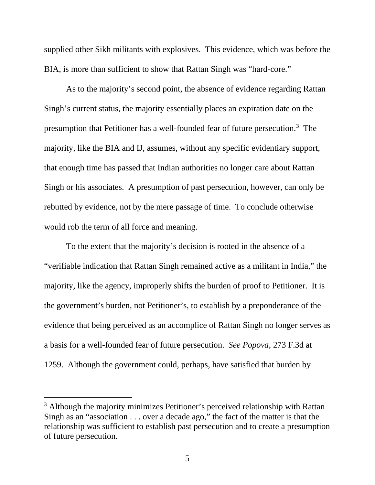supplied other Sikh militants with explosives. This evidence, which was before the BIA, is more than sufficient to show that Rattan Singh was "hard-core."

As to the majority's second point, the absence of evidence regarding Rattan Singh's current status, the majority essentially places an expiration date on the presumption that Petitioner has a well-founded fear of future persecution.<sup>[3](#page-9-0)</sup> The majority, like the BIA and IJ, assumes, without any specific evidentiary support, that enough time has passed that Indian authorities no longer care about Rattan Singh or his associates. A presumption of past persecution, however, can only be rebutted by evidence, not by the mere passage of time. To conclude otherwise would rob the term of all force and meaning.

To the extent that the majority's decision is rooted in the absence of a "verifiable indication that Rattan Singh remained active as a militant in India," the majority, like the agency, improperly shifts the burden of proof to Petitioner. It is the government's burden, not Petitioner's, to establish by a preponderance of the evidence that being perceived as an accomplice of Rattan Singh no longer serves as a basis for a well-founded fear of future persecution. *See Popova*, 273 F.3d at 1259. Although the government could, perhaps, have satisfied that burden by

<span id="page-9-0"></span><sup>&</sup>lt;sup>3</sup> Although the majority minimizes Petitioner's perceived relationship with Rattan Singh as an "association . . . over a decade ago," the fact of the matter is that the relationship was sufficient to establish past persecution and to create a presumption of future persecution.